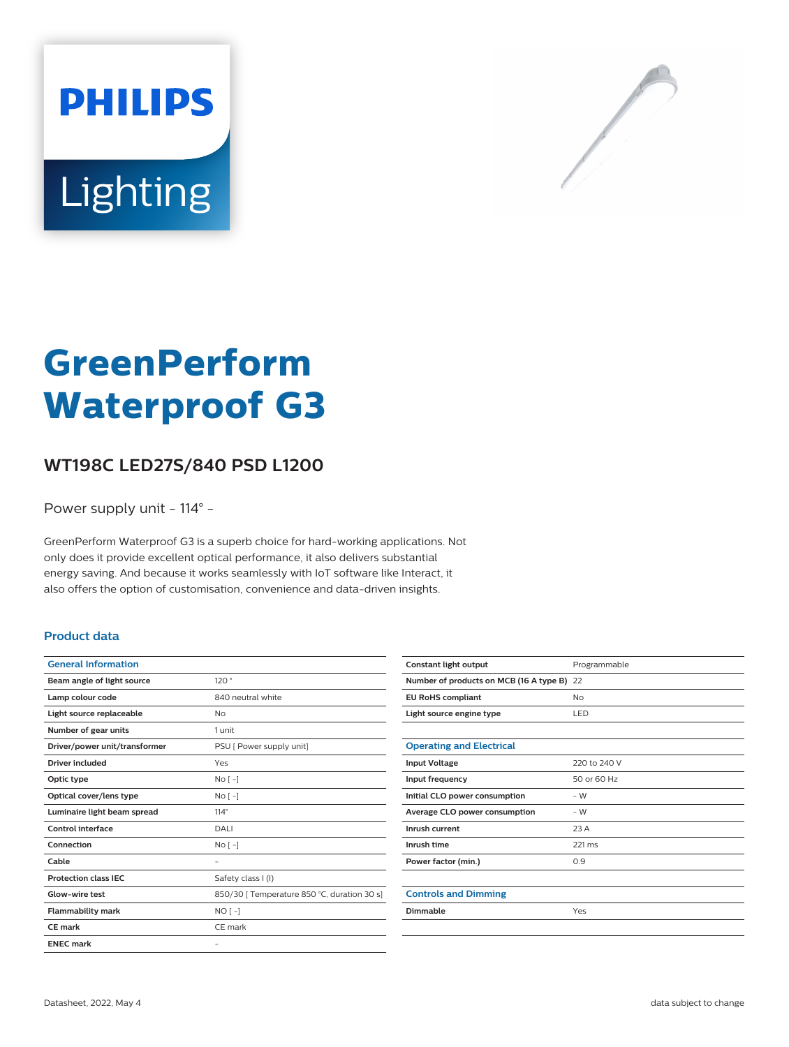



# **GreenPerform Waterproof G3**

## **WT198C LED27S/840 PSD L1200**

Power supply unit - 114° -

GreenPerform Waterproof G3 is a superb choice for hard-working applications. Not only does it provide excellent optical performance, it also delivers substantial energy saving. And because it works seamlessly with IoT software like Interact, it also offers the option of customisation, convenience and data-driven insights.

#### **Product data**

| <b>General Information</b>    |                                             |
|-------------------------------|---------------------------------------------|
| Beam angle of light source    | 120°                                        |
| Lamp colour code              | 840 neutral white                           |
| Light source replaceable      | No                                          |
| Number of gear units          | 1 unit                                      |
| Driver/power unit/transformer | PSU [ Power supply unit]                    |
| Driver included               | Yes                                         |
| Optic type                    | No <sub>1</sub>                             |
| Optical cover/lens type       | No <sub>1</sub>                             |
| Luminaire light beam spread   | $114^\circ$                                 |
| Control interface             | <b>DALI</b>                                 |
| Connection                    | $No[-]$                                     |
| Cable                         | ۰                                           |
| <b>Protection class IEC</b>   | Safety class I (I)                          |
| Glow-wire test                | 850/30   Temperature 850 °C, duration 30 s] |
| <b>Flammability mark</b>      | $NO[-]$                                     |
| CF mark                       | CE mark                                     |
| <b>ENEC mark</b>              | $\overline{\phantom{0}}$                    |

| Constant light output                      | Programmable |
|--------------------------------------------|--------------|
| Number of products on MCB (16 A type B) 22 |              |
| <b>EU RoHS compliant</b>                   | <b>No</b>    |
| Light source engine type                   | LED.         |
|                                            |              |
| <b>Operating and Electrical</b>            |              |
| <b>Input Voltage</b>                       | 220 to 240 V |
| Input frequency                            | 50 or 60 Hz  |
| Initial CLO power consumption              | $-W$         |
| Average CLO power consumption              | $-W$         |
| Inrush current                             | 23 A         |
| Inrush time                                | 221 ms       |
| Power factor (min.)                        | 0.9          |
|                                            |              |
| <b>Controls and Dimming</b>                |              |
| Dimmable                                   | Yes          |
|                                            |              |